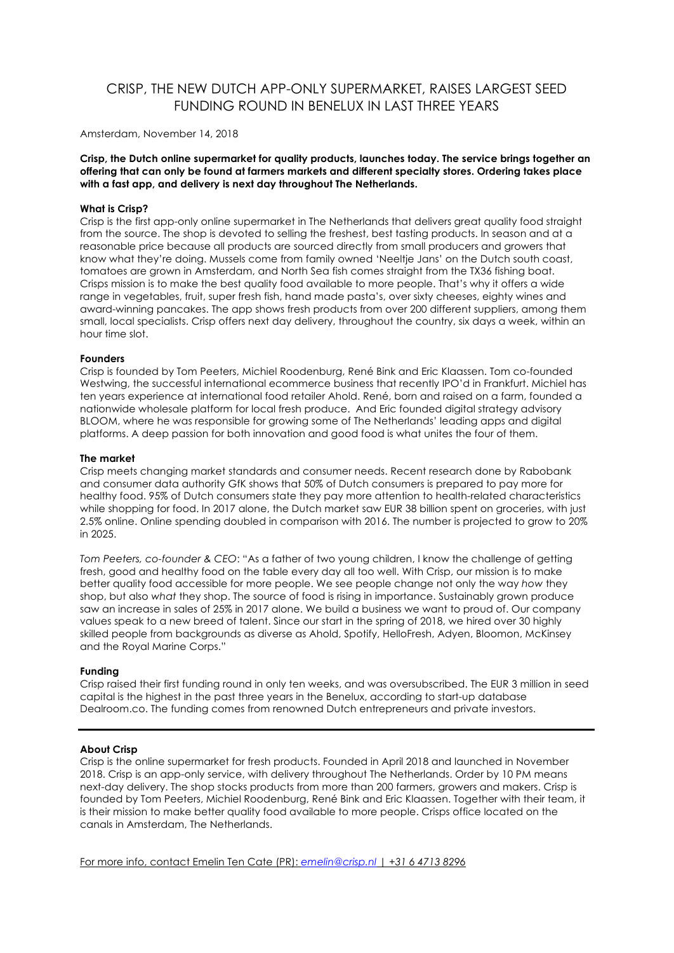# CRISP, THE NEW DUTCH APP-ONLY SUPERMARKET, RAISES LARGEST SEED FUNDING ROUND IN BENELUX IN LAST THREE YEARS

Amsterdam, November 14, 2018

**Crisp, the Dutch online supermarket for quality products, launches today. The service brings together an offering that can only be found at farmers markets and different specialty stores. Ordering takes place with a fast app, and delivery is next day throughout The Netherlands.** 

## **What is Crisp?**

Crisp is the first app-only online supermarket in The Netherlands that delivers great quality food straight from the source. The shop is devoted to selling the freshest, best tasting products. In season and at a reasonable price because all products are sourced directly from small producers and growers that know what they're doing. Mussels come from family owned 'Neeltje Jans' on the Dutch south coast, tomatoes are grown in Amsterdam, and North Sea fish comes straight from the TX36 fishing boat. Crisps mission is to make the best quality food available to more people. That's why it offers a wide range in vegetables, fruit, super fresh fish, hand made pasta's, over sixty cheeses, eighty wines and award-winning pancakes. The app shows fresh products from over 200 different suppliers, among them small, local specialists. Crisp offers next day delivery, throughout the country, six days a week, within an hour time slot.

#### **Founders**

Crisp is founded by Tom Peeters, Michiel Roodenburg, René Bink and Eric Klaassen. Tom co-founded Westwing, the successful international ecommerce business that recently IPO'd in Frankfurt. Michiel has ten years experience at international food retailer Ahold. René, born and raised on a farm, founded a nationwide wholesale platform for local fresh produce. And Eric founded digital strategy advisory BLOOM, where he was responsible for growing some of The Netherlands' leading apps and digital platforms. A deep passion for both innovation and good food is what unites the four of them.

#### **The market**

Crisp meets changing market standards and consumer needs. Recent research done by Rabobank and consumer data authority GfK shows that 50% of Dutch consumers is prepared to pay more for healthy food. 95% of Dutch consumers state they pay more attention to health-related characteristics while shopping for food. In 2017 alone, the Dutch market saw EUR 38 billion spent on groceries, with just 2.5% online. Online spending doubled in comparison with 2016. The number is projected to grow to 20% in 2025.

*Tom Peeters, co-founder & CEO*: "As a father of two young children, I know the challenge of getting fresh, good and healthy food on the table every day all too well. With Crisp, our mission is to make better quality food accessible for more people. We see people change not only the way *how* they shop, but also *what* they shop. The source of food is rising in importance. Sustainably grown produce saw an increase in sales of 25% in 2017 alone. We build a business we want to proud of. Our company values speak to a new breed of talent. Since our start in the spring of 2018, we hired over 30 highly skilled people from backgrounds as diverse as Ahold, Spotify, HelloFresh, Adyen, Bloomon, McKinsey and the Royal Marine Corps."

## **Funding**

Crisp raised their first funding round in only ten weeks, and was oversubscribed. The EUR 3 million in seed capital is the highest in the past three years in the Benelux, according to start-up database Dealroom.co. The funding comes from renowned Dutch entrepreneurs and private investors.

# **About Crisp**

Crisp is the online supermarket for fresh products. Founded in April 2018 and launched in November 2018. Crisp is an app-only service, with delivery throughout The Netherlands. Order by 10 PM means next-day delivery. The shop stocks products from more than 200 farmers, growers and makers. Crisp is founded by Tom Peeters, Michiel Roodenburg, René Bink and Eric Klaassen. Together with their team, it is their mission to make better quality food available to more people. Crisps office located on the canals in Amsterdam, The Netherlands.

For more info, contact Emelin Ten Cate (PR): *emelin@crisp.nl* | *+31 6 4713 8296*